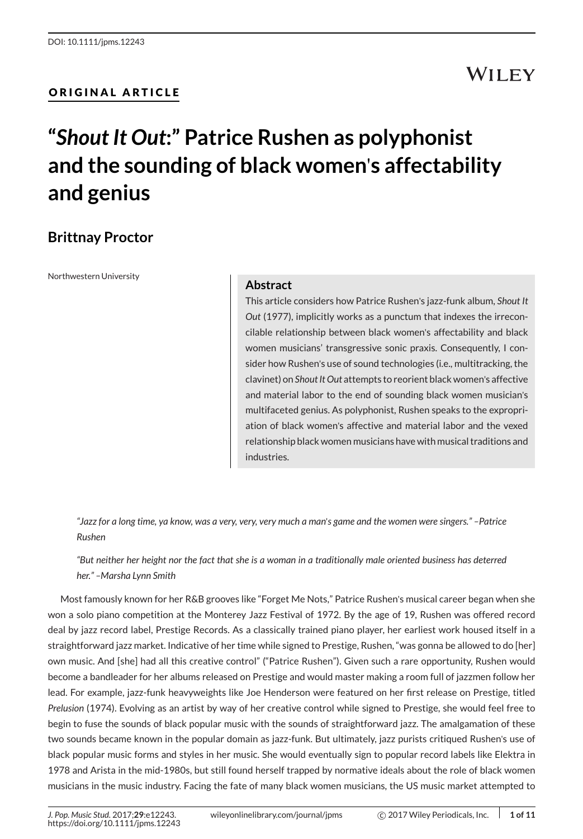#### ORIGINAL ARTICLE

## **WILEY**

# **"***Shout It Out***:" Patrice Rushen as polyphonist and the sounding of black women**'**s affectability and genius**

### **Brittnay Proctor**

Northwestern University

#### **Abstract**

This article considers how Patrice Rushen's jazz-funk album, *Shout It Out* (1977), implicitly works as a punctum that indexes the irreconcilable relationship between black women's affectability and black women musicians' transgressive sonic praxis. Consequently, I consider how Rushen's use of sound technologies (i.e., multitracking, the clavinet) on *Shout It Out* attempts to reorient black women's affective and material labor to the end of sounding black women musician's multifaceted genius. As polyphonist, Rushen speaks to the expropriation of black women's affective and material labor and the vexed relationship black women musicians have with musical traditions and industries.

*"Jazz for a long time, ya know, was a very, very, very much a man*'*s game and the women were singers." –Patrice Rushen*

*"But neither her height nor the fact that she is a woman in a traditionally male oriented business has deterred her." –Marsha Lynn Smith*

Most famously known for her R&B grooves like "Forget Me Nots," Patrice Rushen's musical career began when she won a solo piano competition at the Monterey Jazz Festival of 1972. By the age of 19, Rushen was offered record deal by jazz record label, Prestige Records. As a classically trained piano player, her earliest work housed itself in a straightforward jazz market. Indicative of her time while signed to Prestige, Rushen, "was gonna be allowed to do [her] own music. And [she] had all this creative control" ("Patrice Rushen"). Given such a rare opportunity, Rushen would become a bandleader for her albums released on Prestige and would master making a room full of jazzmen follow her lead. For example, jazz-funk heavyweights like Joe Henderson were featured on her first release on Prestige, titled *Prelusion* (1974). Evolving as an artist by way of her creative control while signed to Prestige, she would feel free to begin to fuse the sounds of black popular music with the sounds of straightforward jazz. The amalgamation of these two sounds became known in the popular domain as jazz-funk. But ultimately, jazz purists critiqued Rushen's use of black popular music forms and styles in her music. She would eventually sign to popular record labels like Elektra in 1978 and Arista in the mid-1980s, but still found herself trapped by normative ideals about the role of black women musicians in the music industry. Facing the fate of many black women musicians, the US music market attempted to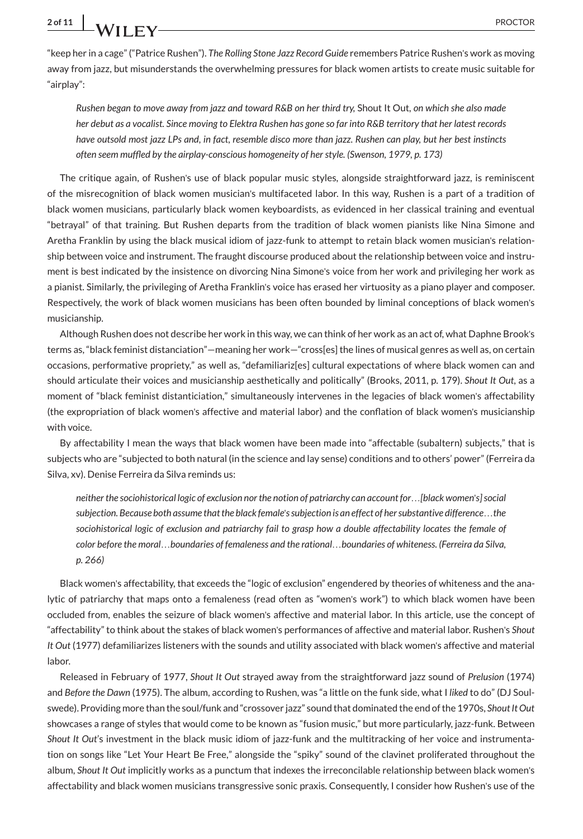"keep her in a cage" ("Patrice Rushen"). *The Rolling Stone Jazz Record Guide* remembers Patrice Rushen's work as moving away from jazz, but misunderstands the overwhelming pressures for black women artists to create music suitable for "airplay":

*Rushen began to move away from jazz and toward R&B on her third try,* Shout It Out*, on which she also made her debut as a vocalist. Since moving to Elektra Rushen has gone so far into R&B territory that her latest records have outsold most jazz LPs and, in fact, resemble disco more than jazz. Rushen can play, but her best instincts often seem muffled by the airplay-conscious homogeneity of her style. (Swenson, 1979, p. 173)*

The critique again, of Rushen's use of black popular music styles, alongside straightforward jazz, is reminiscent of the misrecognition of black women musician's multifaceted labor. In this way, Rushen is a part of a tradition of black women musicians, particularly black women keyboardists, as evidenced in her classical training and eventual "betrayal" of that training. But Rushen departs from the tradition of black women pianists like Nina Simone and Aretha Franklin by using the black musical idiom of jazz-funk to attempt to retain black women musician's relationship between voice and instrument. The fraught discourse produced about the relationship between voice and instrument is best indicated by the insistence on divorcing Nina Simone's voice from her work and privileging her work as a pianist. Similarly, the privileging of Aretha Franklin's voice has erased her virtuosity as a piano player and composer. Respectively, the work of black women musicians has been often bounded by liminal conceptions of black women's musicianship.

Although Rushen does not describe her work in this way, we can think of her work as an act of, what Daphne Brook's terms as, "black feminist distanciation"—meaning her work—"cross[es] the lines of musical genres as well as, on certain occasions, performative propriety," as well as, "defamiliariz[es] cultural expectations of where black women can and should articulate their voices and musicianship aesthetically and politically" (Brooks, 2011, p. 179). *Shout It Out*, as a moment of "black feminist distanticiation," simultaneously intervenes in the legacies of black women's affectability (the expropriation of black women's affective and material labor) and the conflation of black women's musicianship with voice.

By affectability I mean the ways that black women have been made into "affectable (subaltern) subjects," that is subjects who are "subjected to both natural (in the science and lay sense) conditions and to others' power" (Ferreira da Silva, xv). Denise Ferreira da Silva reminds us:

*neither the sociohistorical logic of exclusion nor the notion of patriarchy can account for*…*[black women*'*s] social subjection. Because both assume that the black female*'*s subjection is an effect of her substantive difference*…*the sociohistorical logic of exclusion and patriarchy fail to grasp how a double affectability locates the female of color before the moral*…*boundaries of femaleness and the rational*…*boundaries of whiteness. (Ferreira da Silva, p. 266)*

Black women's affectability, that exceeds the "logic of exclusion" engendered by theories of whiteness and the analytic of patriarchy that maps onto a femaleness (read often as "women's work") to which black women have been occluded from, enables the seizure of black women's affective and material labor. In this article, use the concept of "affectability" to think about the stakes of black women's performances of affective and material labor. Rushen's *Shout It Out* (1977) defamiliarizes listeners with the sounds and utility associated with black women's affective and material labor.

Released in February of 1977, *Shout It Out* strayed away from the straightforward jazz sound of *Prelusion* (1974) and *Before the Dawn* (1975). The album, according to Rushen, was "a little on the funk side, what I *liked* to do" (DJ Soulswede). Providing more than the soul/funk and "crossover jazz" sound that dominated the end of the 1970s, *Shout It Out* showcases a range of styles that would come to be known as "fusion music," but more particularly, jazz-funk. Between *Shout It Out*'s investment in the black music idiom of jazz-funk and the multitracking of her voice and instrumentation on songs like "Let Your Heart Be Free," alongside the "spiky" sound of the clavinet proliferated throughout the album, *Shout It Out* implicitly works as a punctum that indexes the irreconcilable relationship between black women's affectability and black women musicians transgressive sonic praxis. Consequently, I consider how Rushen's use of the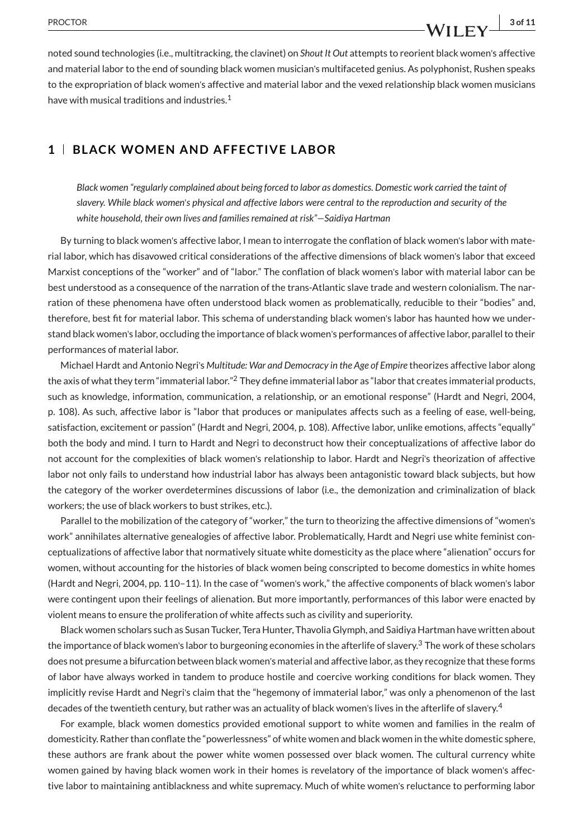noted sound technologies (i.e., multitracking, the clavinet) on *Shout It Out* attempts to reorient black women's affective and material labor to the end of sounding black women musician's multifaceted genius. As polyphonist, Rushen speaks to the expropriation of black women's affective and material labor and the vexed relationship black women musicians have with musical traditions and industries.<sup>1</sup>

#### **1 BLACK WOMEN AND AFFECTIVE LABOR**

*Black women "regularly complained about being forced to labor as domestics. Domestic work carried the taint of slavery. While black women*'*s physical and affective labors were central to the reproduction and security of the white household, their own lives and families remained at risk"—Saidiya Hartman*

By turning to black women's affective labor, I mean to interrogate the conflation of black women's labor with material labor, which has disavowed critical considerations of the affective dimensions of black women's labor that exceed Marxist conceptions of the "worker" and of "labor." The conflation of black women's labor with material labor can be best understood as a consequence of the narration of the trans-Atlantic slave trade and western colonialism. The narration of these phenomena have often understood black women as problematically, reducible to their "bodies" and, therefore, best fit for material labor. This schema of understanding black women's labor has haunted how we understand black women's labor, occluding the importance of black women's performances of affective labor, parallel to their performances of material labor.

Michael Hardt and Antonio Negri's *Multitude: War and Democracy in the Age of Empire* theorizes affective labor along the axis of what they term "immaterial labor."<sup>2</sup> They define immaterial labor as "labor that creates immaterial products, such as knowledge, information, communication, a relationship, or an emotional response" (Hardt and Negri, 2004, p. 108). As such, affective labor is "labor that produces or manipulates affects such as a feeling of ease, well-being, satisfaction, excitement or passion" (Hardt and Negri, 2004, p. 108). Affective labor, unlike emotions, affects "equally" both the body and mind. I turn to Hardt and Negri to deconstruct how their conceptualizations of affective labor do not account for the complexities of black women's relationship to labor. Hardt and Negri's theorization of affective labor not only fails to understand how industrial labor has always been antagonistic toward black subjects, but how the category of the worker overdetermines discussions of labor (i.e., the demonization and criminalization of black workers; the use of black workers to bust strikes, etc.).

Parallel to the mobilization of the category of "worker," the turn to theorizing the affective dimensions of "women's work" annihilates alternative genealogies of affective labor. Problematically, Hardt and Negri use white feminist conceptualizations of affective labor that normatively situate white domesticity as the place where "alienation" occurs for women, without accounting for the histories of black women being conscripted to become domestics in white homes (Hardt and Negri, 2004, pp. 110–11). In the case of "women's work," the affective components of black women's labor were contingent upon their feelings of alienation. But more importantly, performances of this labor were enacted by violent means to ensure the proliferation of white affects such as civility and superiority.

Black women scholars such as Susan Tucker, Tera Hunter, Thavolia Glymph, and Saidiya Hartman have written about the importance of black women's labor to burgeoning economies in the afterlife of slavery.<sup>3</sup> The work of these scholars does not presume a bifurcation between black women's material and affective labor, as they recognize that these forms of labor have always worked in tandem to produce hostile and coercive working conditions for black women. They implicitly revise Hardt and Negri's claim that the "hegemony of immaterial labor," was only a phenomenon of the last decades of the twentieth century, but rather was an actuality of black women's lives in the afterlife of slavery.<sup>4</sup>

For example, black women domestics provided emotional support to white women and families in the realm of domesticity. Rather than conflate the "powerlessness" of white women and black women in the white domestic sphere, these authors are frank about the power white women possessed over black women. The cultural currency white women gained by having black women work in their homes is revelatory of the importance of black women's affective labor to maintaining antiblackness and white supremacy. Much of white women's reluctance to performing labor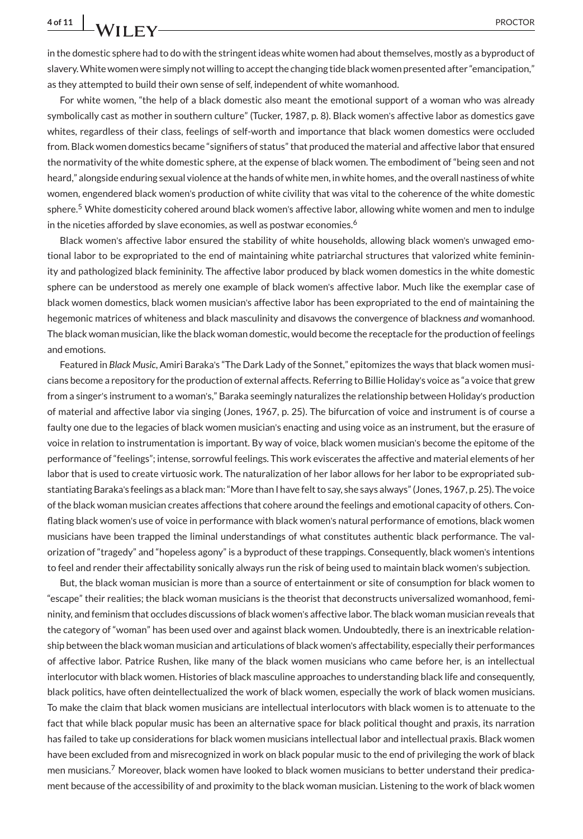in the domestic sphere had to do with the stringent ideas white women had about themselves, mostly as a byproduct of slavery.White women were simply not willing to accept the changing tide black women presented after "emancipation," as they attempted to build their own sense of self, independent of white womanhood.

For white women, "the help of a black domestic also meant the emotional support of a woman who was already symbolically cast as mother in southern culture" (Tucker, 1987, p. 8). Black women's affective labor as domestics gave whites, regardless of their class, feelings of self-worth and importance that black women domestics were occluded from. Black women domestics became "signifiers of status" that produced the material and affective labor that ensured the normativity of the white domestic sphere, at the expense of black women. The embodiment of "being seen and not heard," alongside enduring sexual violence at the hands of white men, in white homes, and the overall nastiness of white women, engendered black women's production of white civility that was vital to the coherence of the white domestic sphere.<sup>5</sup> White domesticity cohered around black women's affective labor, allowing white women and men to indulge in the niceties afforded by slave economies, as well as postwar economies.<sup>6</sup>

Black women's affective labor ensured the stability of white households, allowing black women's unwaged emotional labor to be expropriated to the end of maintaining white patriarchal structures that valorized white femininity and pathologized black femininity. The affective labor produced by black women domestics in the white domestic sphere can be understood as merely one example of black women's affective labor. Much like the exemplar case of black women domestics, black women musician's affective labor has been expropriated to the end of maintaining the hegemonic matrices of whiteness and black masculinity and disavows the convergence of blackness *and* womanhood. The black woman musician, like the black woman domestic, would become the receptacle for the production of feelings and emotions.

Featured in *Black Music*, Amiri Baraka's "The Dark Lady of the Sonnet," epitomizes the ways that black women musicians become a repository for the production of external affects. Referring to Billie Holiday's voice as "a voice that grew from a singer's instrument to a woman's," Baraka seemingly naturalizes the relationship between Holiday's production of material and affective labor via singing (Jones, 1967, p. 25). The bifurcation of voice and instrument is of course a faulty one due to the legacies of black women musician's enacting and using voice as an instrument, but the erasure of voice in relation to instrumentation is important. By way of voice, black women musician's become the epitome of the performance of "feelings"; intense, sorrowful feelings. This work eviscerates the affective and material elements of her labor that is used to create virtuosic work. The naturalization of her labor allows for her labor to be expropriated substantiating Baraka's feelings as a black man: "More than I have felt to say, she says always" (Jones, 1967, p. 25). The voice of the black woman musician creates affections that cohere around the feelings and emotional capacity of others. Conflating black women's use of voice in performance with black women's natural performance of emotions, black women musicians have been trapped the liminal understandings of what constitutes authentic black performance. The valorization of "tragedy" and "hopeless agony" is a byproduct of these trappings. Consequently, black women's intentions to feel and render their affectability sonically always run the risk of being used to maintain black women's subjection.

But, the black woman musician is more than a source of entertainment or site of consumption for black women to "escape" their realities; the black woman musicians is the theorist that deconstructs universalized womanhood, femininity, and feminism that occludes discussions of black women's affective labor. The black woman musician reveals that the category of "woman" has been used over and against black women. Undoubtedly, there is an inextricable relationship between the black woman musician and articulations of black women's affectability, especially their performances of affective labor. Patrice Rushen, like many of the black women musicians who came before her, is an intellectual interlocutor with black women. Histories of black masculine approaches to understanding black life and consequently, black politics, have often deintellectualized the work of black women, especially the work of black women musicians. To make the claim that black women musicians are intellectual interlocutors with black women is to attenuate to the fact that while black popular music has been an alternative space for black political thought and praxis, its narration has failed to take up considerations for black women musicians intellectual labor and intellectual praxis. Black women have been excluded from and misrecognized in work on black popular music to the end of privileging the work of black men musicians.<sup>7</sup> Moreover, black women have looked to black women musicians to better understand their predicament because of the accessibility of and proximity to the black woman musician. Listening to the work of black women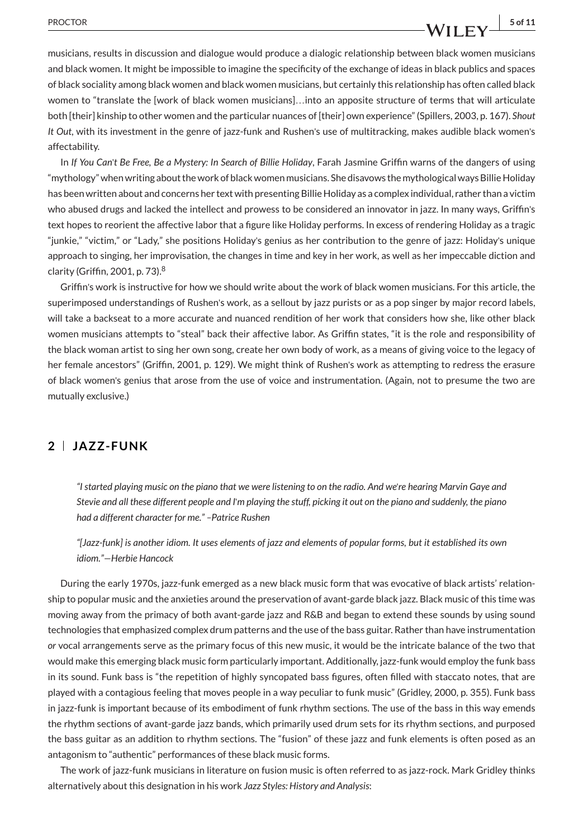## PROCTOR **5 of 11**

musicians, results in discussion and dialogue would produce a dialogic relationship between black women musicians and black women. It might be impossible to imagine the specificity of the exchange of ideas in black publics and spaces of black sociality among black women and black women musicians, but certainly this relationship has often called black women to "translate the [work of black women musicians]…into an apposite structure of terms that will articulate both [their] kinship to other women and the particular nuances of [their] own experience" (Spillers, 2003, p. 167). *Shout It Out*, with its investment in the genre of jazz-funk and Rushen's use of multitracking, makes audible black women's affectability.

In *If You Can*'*t Be Free, Be a Mystery: In Search of Billie Holiday*, Farah Jasmine Griffin warns of the dangers of using "mythology" when writing about the work of black women musicians. She disavows the mythological ways Billie Holiday has been written about and concerns her text with presenting Billie Holiday as a complex individual, rather than a victim who abused drugs and lacked the intellect and prowess to be considered an innovator in jazz. In many ways, Griffin's text hopes to reorient the affective labor that a figure like Holiday performs. In excess of rendering Holiday as a tragic "junkie," "victim," or "Lady," she positions Holiday's genius as her contribution to the genre of jazz: Holiday's unique approach to singing, her improvisation, the changes in time and key in her work, as well as her impeccable diction and clarity (Griffin, 2001, p. 73).<sup>8</sup>

Griffin's work is instructive for how we should write about the work of black women musicians. For this article, the superimposed understandings of Rushen's work, as a sellout by jazz purists or as a pop singer by major record labels, will take a backseat to a more accurate and nuanced rendition of her work that considers how she, like other black women musicians attempts to "steal" back their affective labor. As Griffin states, "it is the role and responsibility of the black woman artist to sing her own song, create her own body of work, as a means of giving voice to the legacy of her female ancestors" (Griffin, 2001, p. 129). We might think of Rushen's work as attempting to redress the erasure of black women's genius that arose from the use of voice and instrumentation. (Again, not to presume the two are mutually exclusive.)

#### **2 JAZZ-FUNK**

*"I started playing music on the piano that we were listening to on the radio. And we*'*re hearing Marvin Gaye and Stevie and all these different people and I*'*m playing the stuff, picking it out on the piano and suddenly, the piano had a different character for me." –Patrice Rushen*

*"[Jazz-funk] is another idiom. It uses elements of jazz and elements of popular forms, but it established its own idiom."—Herbie Hancock*

During the early 1970s, jazz-funk emerged as a new black music form that was evocative of black artists' relationship to popular music and the anxieties around the preservation of avant-garde black jazz. Black music of this time was moving away from the primacy of both avant-garde jazz and R&B and began to extend these sounds by using sound technologies that emphasized complex drum patterns and the use of the bass guitar. Rather than have instrumentation *or* vocal arrangements serve as the primary focus of this new music, it would be the intricate balance of the two that would make this emerging black music form particularly important. Additionally, jazz-funk would employ the funk bass in its sound. Funk bass is "the repetition of highly syncopated bass figures, often filled with staccato notes, that are played with a contagious feeling that moves people in a way peculiar to funk music" (Gridley, 2000, p. 355). Funk bass in jazz-funk is important because of its embodiment of funk rhythm sections. The use of the bass in this way emends the rhythm sections of avant-garde jazz bands, which primarily used drum sets for its rhythm sections, and purposed the bass guitar as an addition to rhythm sections. The "fusion" of these jazz and funk elements is often posed as an antagonism to "authentic" performances of these black music forms.

The work of jazz-funk musicians in literature on fusion music is often referred to as jazz-rock. Mark Gridley thinks alternatively about this designation in his work *Jazz Styles: History and Analysis*: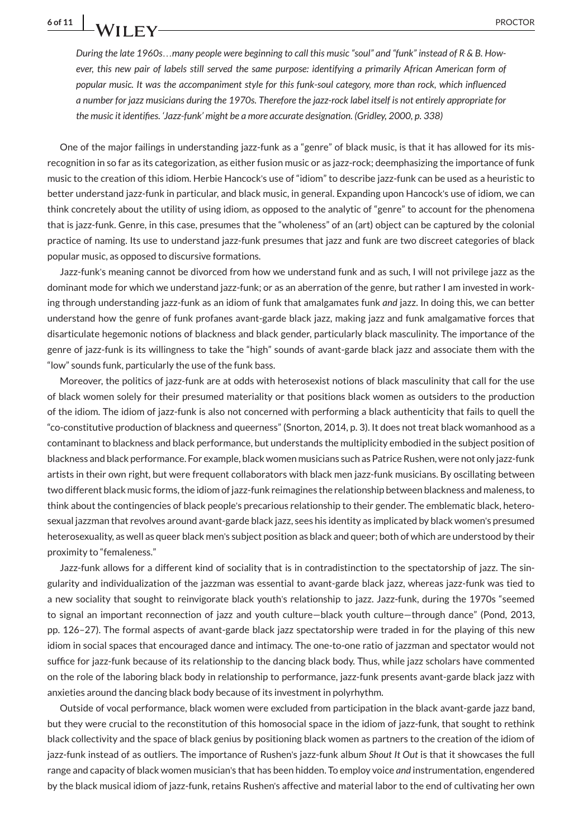*During the late 1960s*…*many people were beginning to call this music "soul" and "funk" instead of R & B. However, this new pair of labels still served the same purpose: identifying a primarily African American form of popular music. It was the accompaniment style for this funk-soul category, more than rock, which influenced a number for jazz musicians during the 1970s. Therefore the jazz-rock label itself is not entirely appropriate for the music it identifies. 'Jazz-funk' might be a more accurate designation. (Gridley, 2000, p. 338)*

One of the major failings in understanding jazz-funk as a "genre" of black music, is that it has allowed for its misrecognition in so far as its categorization, as either fusion music or as jazz-rock; deemphasizing the importance of funk music to the creation of this idiom. Herbie Hancock's use of "idiom" to describe jazz-funk can be used as a heuristic to better understand jazz-funk in particular, and black music, in general. Expanding upon Hancock's use of idiom, we can think concretely about the utility of using idiom, as opposed to the analytic of "genre" to account for the phenomena that is jazz-funk. Genre, in this case, presumes that the "wholeness" of an (art) object can be captured by the colonial practice of naming. Its use to understand jazz-funk presumes that jazz and funk are two discreet categories of black popular music, as opposed to discursive formations.

Jazz-funk's meaning cannot be divorced from how we understand funk and as such, I will not privilege jazz as the dominant mode for which we understand jazz-funk; or as an aberration of the genre, but rather I am invested in working through understanding jazz-funk as an idiom of funk that amalgamates funk *and* jazz. In doing this, we can better understand how the genre of funk profanes avant-garde black jazz, making jazz and funk amalgamative forces that disarticulate hegemonic notions of blackness and black gender, particularly black masculinity. The importance of the genre of jazz-funk is its willingness to take the "high" sounds of avant-garde black jazz and associate them with the "low" sounds funk, particularly the use of the funk bass.

Moreover, the politics of jazz-funk are at odds with heterosexist notions of black masculinity that call for the use of black women solely for their presumed materiality or that positions black women as outsiders to the production of the idiom. The idiom of jazz-funk is also not concerned with performing a black authenticity that fails to quell the "co-constitutive production of blackness and queerness" (Snorton, 2014, p. 3). It does not treat black womanhood as a contaminant to blackness and black performance, but understands the multiplicity embodied in the subject position of blackness and black performance. For example, black women musicians such as Patrice Rushen, were not only jazz-funk artists in their own right, but were frequent collaborators with black men jazz-funk musicians. By oscillating between two different black music forms, the idiom of jazz-funk reimagines the relationship between blackness and maleness, to think about the contingencies of black people's precarious relationship to their gender. The emblematic black, heterosexual jazzman that revolves around avant-garde black jazz, sees his identity as implicated by black women's presumed heterosexuality, as well as queer black men's subject position as black and queer; both of which are understood by their proximity to "femaleness."

Jazz-funk allows for a different kind of sociality that is in contradistinction to the spectatorship of jazz. The singularity and individualization of the jazzman was essential to avant-garde black jazz, whereas jazz-funk was tied to a new sociality that sought to reinvigorate black youth's relationship to jazz. Jazz-funk, during the 1970s "seemed to signal an important reconnection of jazz and youth culture—black youth culture—through dance" (Pond, 2013, pp. 126–27). The formal aspects of avant-garde black jazz spectatorship were traded in for the playing of this new idiom in social spaces that encouraged dance and intimacy. The one-to-one ratio of jazzman and spectator would not suffice for jazz-funk because of its relationship to the dancing black body. Thus, while jazz scholars have commented on the role of the laboring black body in relationship to performance, jazz-funk presents avant-garde black jazz with anxieties around the dancing black body because of its investment in polyrhythm.

Outside of vocal performance, black women were excluded from participation in the black avant-garde jazz band, but they were crucial to the reconstitution of this homosocial space in the idiom of jazz-funk, that sought to rethink black collectivity and the space of black genius by positioning black women as partners to the creation of the idiom of jazz-funk instead of as outliers. The importance of Rushen's jazz-funk album *Shout It Out* is that it showcases the full range and capacity of black women musician's that has been hidden. To employ voice *and* instrumentation, engendered by the black musical idiom of jazz-funk, retains Rushen's affective and material labor to the end of cultivating her own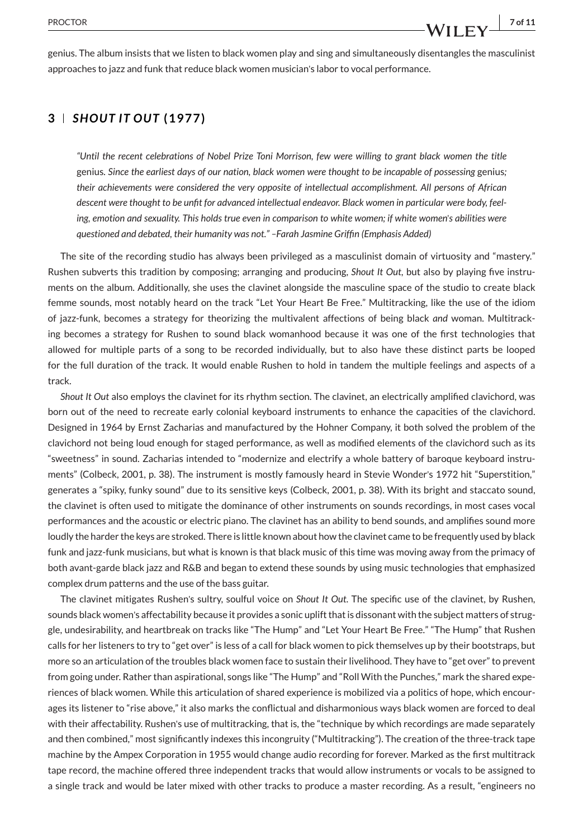#### **3** *SHOUT IT OUT* **(1977)**

*"Until the recent celebrations of Nobel Prize Toni Morrison, few were willing to grant black women the title* genius*. Since the earliest days of our nation, black women were thought to be incapable of possessing* genius*; their achievements were considered the very opposite of intellectual accomplishment. All persons of African descent were thought to be unfit for advanced intellectual endeavor. Black women in particular were body, feeling, emotion and sexuality. This holds true even in comparison to white women; if white women*'*s abilities were questioned and debated, their humanity was not." –Farah Jasmine Griffin (Emphasis Added)*

The site of the recording studio has always been privileged as a masculinist domain of virtuosity and "mastery." Rushen subverts this tradition by composing; arranging and producing, *Shout It Out*, but also by playing five instruments on the album. Additionally, she uses the clavinet alongside the masculine space of the studio to create black femme sounds, most notably heard on the track "Let Your Heart Be Free." Multitracking, like the use of the idiom of jazz-funk, becomes a strategy for theorizing the multivalent affections of being black *and* woman. Multitracking becomes a strategy for Rushen to sound black womanhood because it was one of the first technologies that allowed for multiple parts of a song to be recorded individually, but to also have these distinct parts be looped for the full duration of the track. It would enable Rushen to hold in tandem the multiple feelings and aspects of a track.

*Shout It Out* also employs the clavinet for its rhythm section. The clavinet, an electrically amplified clavichord, was born out of the need to recreate early colonial keyboard instruments to enhance the capacities of the clavichord. Designed in 1964 by Ernst Zacharias and manufactured by the Hohner Company, it both solved the problem of the clavichord not being loud enough for staged performance, as well as modified elements of the clavichord such as its "sweetness" in sound. Zacharias intended to "modernize and electrify a whole battery of baroque keyboard instruments" (Colbeck, 2001, p. 38). The instrument is mostly famously heard in Stevie Wonder's 1972 hit "Superstition," generates a "spiky, funky sound" due to its sensitive keys (Colbeck, 2001, p. 38). With its bright and staccato sound, the clavinet is often used to mitigate the dominance of other instruments on sounds recordings, in most cases vocal performances and the acoustic or electric piano. The clavinet has an ability to bend sounds, and amplifies sound more loudly the harder the keys are stroked. There is little known about how the clavinet came to be frequently used by black funk and jazz-funk musicians, but what is known is that black music of this time was moving away from the primacy of both avant-garde black jazz and R&B and began to extend these sounds by using music technologies that emphasized complex drum patterns and the use of the bass guitar.

The clavinet mitigates Rushen's sultry, soulful voice on *Shout It Out*. The specific use of the clavinet, by Rushen, sounds black women's affectability because it provides a sonic uplift that is dissonant with the subject matters of struggle, undesirability, and heartbreak on tracks like "The Hump" and "Let Your Heart Be Free." "The Hump" that Rushen calls for her listeners to try to "get over" is less of a call for black women to pick themselves up by their bootstraps, but more so an articulation of the troubles black women face to sustain their livelihood. They have to "get over" to prevent from going under. Rather than aspirational, songs like "The Hump" and "Roll With the Punches," mark the shared experiences of black women. While this articulation of shared experience is mobilized via a politics of hope, which encourages its listener to "rise above," it also marks the conflictual and disharmonious ways black women are forced to deal with their affectability. Rushen's use of multitracking, that is, the "technique by which recordings are made separately and then combined," most significantly indexes this incongruity ("Multitracking"). The creation of the three-track tape machine by the Ampex Corporation in 1955 would change audio recording for forever. Marked as the first multitrack tape record, the machine offered three independent tracks that would allow instruments or vocals to be assigned to a single track and would be later mixed with other tracks to produce a master recording. As a result, "engineers no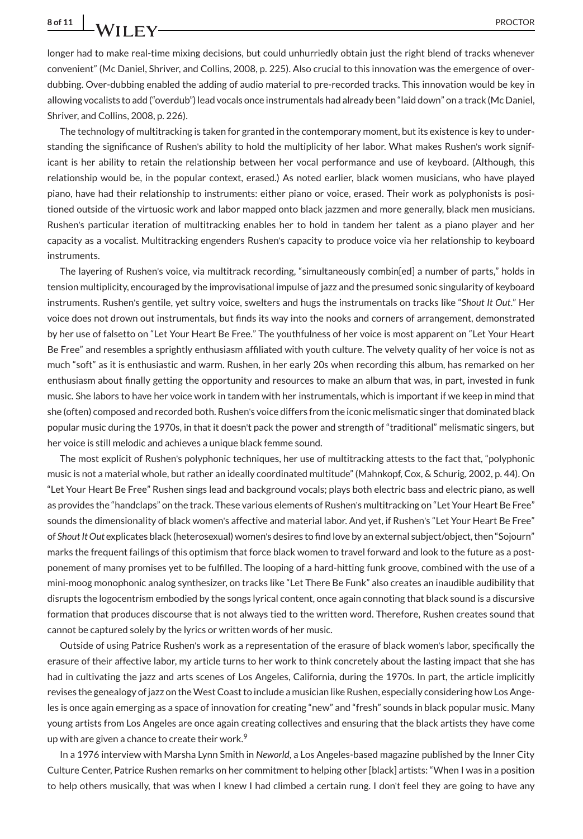longer had to make real-time mixing decisions, but could unhurriedly obtain just the right blend of tracks whenever convenient" (Mc Daniel, Shriver, and Collins, 2008, p. 225). Also crucial to this innovation was the emergence of overdubbing. Over-dubbing enabled the adding of audio material to pre-recorded tracks. This innovation would be key in allowing vocalists to add ("overdub") lead vocals once instrumentals had already been "laid down" on a track (Mc Daniel, Shriver, and Collins, 2008, p. 226).

The technology of multitracking is taken for granted in the contemporary moment, but its existence is key to understanding the significance of Rushen's ability to hold the multiplicity of her labor. What makes Rushen's work significant is her ability to retain the relationship between her vocal performance and use of keyboard. (Although, this relationship would be, in the popular context, erased.) As noted earlier, black women musicians, who have played piano, have had their relationship to instruments: either piano or voice, erased. Their work as polyphonists is positioned outside of the virtuosic work and labor mapped onto black jazzmen and more generally, black men musicians. Rushen's particular iteration of multitracking enables her to hold in tandem her talent as a piano player and her capacity as a vocalist. Multitracking engenders Rushen's capacity to produce voice via her relationship to keyboard instruments.

The layering of Rushen's voice, via multitrack recording, "simultaneously combin[ed] a number of parts," holds in tension multiplicity, encouraged by the improvisational impulse of jazz and the presumed sonic singularity of keyboard instruments. Rushen's gentile, yet sultry voice, swelters and hugs the instrumentals on tracks like "*Shout It Out*." Her voice does not drown out instrumentals, but finds its way into the nooks and corners of arrangement, demonstrated by her use of falsetto on "Let Your Heart Be Free." The youthfulness of her voice is most apparent on "Let Your Heart Be Free" and resembles a sprightly enthusiasm affiliated with youth culture. The velvety quality of her voice is not as much "soft" as it is enthusiastic and warm. Rushen, in her early 20s when recording this album, has remarked on her enthusiasm about finally getting the opportunity and resources to make an album that was, in part, invested in funk music. She labors to have her voice work in tandem with her instrumentals, which is important if we keep in mind that she (often) composed and recorded both. Rushen's voice differs from the iconic melismatic singer that dominated black popular music during the 1970s, in that it doesn't pack the power and strength of "traditional" melismatic singers, but her voice is still melodic and achieves a unique black femme sound.

The most explicit of Rushen's polyphonic techniques, her use of multitracking attests to the fact that, "polyphonic music is not a material whole, but rather an ideally coordinated multitude" (Mahnkopf, Cox, & Schurig, 2002, p. 44). On "Let Your Heart Be Free" Rushen sings lead and background vocals; plays both electric bass and electric piano, as well as provides the "handclaps" on the track. These various elements of Rushen's multitracking on "Let Your Heart Be Free" sounds the dimensionality of black women's affective and material labor. And yet, if Rushen's "Let Your Heart Be Free" of *Shout It Out* explicates black (heterosexual) women's desires to find love by an external subject/object, then "Sojourn" marks the frequent failings of this optimism that force black women to travel forward and look to the future as a postponement of many promises yet to be fulfilled. The looping of a hard-hitting funk groove, combined with the use of a mini-moog monophonic analog synthesizer, on tracks like "Let There Be Funk" also creates an inaudible audibility that disrupts the logocentrism embodied by the songs lyrical content, once again connoting that black sound is a discursive formation that produces discourse that is not always tied to the written word. Therefore, Rushen creates sound that cannot be captured solely by the lyrics or written words of her music.

Outside of using Patrice Rushen's work as a representation of the erasure of black women's labor, specifically the erasure of their affective labor, my article turns to her work to think concretely about the lasting impact that she has had in cultivating the jazz and arts scenes of Los Angeles, California, during the 1970s. In part, the article implicitly revises the genealogy of jazz on theWest Coast to include a musician like Rushen, especially considering how Los Angeles is once again emerging as a space of innovation for creating "new" and "fresh" sounds in black popular music. Many young artists from Los Angeles are once again creating collectives and ensuring that the black artists they have come up with are given a chance to create their work.<sup>9</sup>

In a 1976 interview with Marsha Lynn Smith in *Neworld*, a Los Angeles-based magazine published by the Inner City Culture Center, Patrice Rushen remarks on her commitment to helping other [black] artists: "When I was in a position to help others musically, that was when I knew I had climbed a certain rung. I don't feel they are going to have any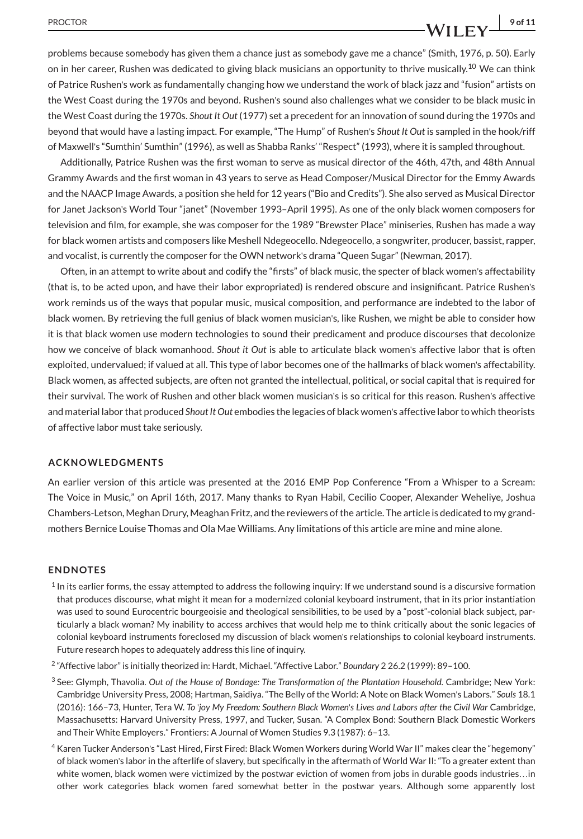#### PROCTOR **9 of 11**

problems because somebody has given them a chance just as somebody gave me a chance" (Smith, 1976, p. 50). Early on in her career, Rushen was dedicated to giving black musicians an opportunity to thrive musically.<sup>10</sup> We can think of Patrice Rushen's work as fundamentally changing how we understand the work of black jazz and "fusion" artists on the West Coast during the 1970s and beyond. Rushen's sound also challenges what we consider to be black music in the West Coast during the 1970s. *Shout It Out* (1977) set a precedent for an innovation of sound during the 1970s and beyond that would have a lasting impact. For example, "The Hump" of Rushen's *Shout It Out* is sampled in the hook/riff of Maxwell's "Sumthin' Sumthin" (1996), as well as Shabba Ranks' "Respect" (1993), where it is sampled throughout.

Additionally, Patrice Rushen was the first woman to serve as musical director of the 46th, 47th, and 48th Annual Grammy Awards and the first woman in 43 years to serve as Head Composer/Musical Director for the Emmy Awards and the NAACP Image Awards, a position she held for 12 years ("Bio and Credits"). She also served as Musical Director for Janet Jackson's World Tour "janet" (November 1993–April 1995). As one of the only black women composers for television and film, for example, she was composer for the 1989 "Brewster Place" miniseries, Rushen has made a way for black women artists and composers like Meshell Ndegeocello. Ndegeocello, a songwriter, producer, bassist, rapper, and vocalist, is currently the composer for the OWN network's drama "Queen Sugar" (Newman, 2017).

Often, in an attempt to write about and codify the "firsts" of black music, the specter of black women's affectability (that is, to be acted upon, and have their labor expropriated) is rendered obscure and insignificant. Patrice Rushen's work reminds us of the ways that popular music, musical composition, and performance are indebted to the labor of black women. By retrieving the full genius of black women musician's, like Rushen, we might be able to consider how it is that black women use modern technologies to sound their predicament and produce discourses that decolonize how we conceive of black womanhood. *Shout it Out* is able to articulate black women's affective labor that is often exploited, undervalued; if valued at all. This type of labor becomes one of the hallmarks of black women's affectability. Black women, as affected subjects, are often not granted the intellectual, political, or social capital that is required for their survival. The work of Rushen and other black women musician's is so critical for this reason. Rushen's affective and material labor that produced *Shout It Out* embodies the legacies of black women's affective labor to which theorists of affective labor must take seriously.

#### **ACKNOWLEDGMENTS**

An earlier version of this article was presented at the 2016 EMP Pop Conference "From a Whisper to a Scream: The Voice in Music," on April 16th, 2017. Many thanks to Ryan Habil, Cecilio Cooper, Alexander Weheliye, Joshua Chambers-Letson, Meghan Drury, Meaghan Fritz, and the reviewers of the article. The article is dedicated to my grandmothers Bernice Louise Thomas and Ola Mae Williams. Any limitations of this article are mine and mine alone.

#### **ENDNOTES**

- $1$  In its earlier forms, the essay attempted to address the following inquiry: If we understand sound is a discursive formation that produces discourse, what might it mean for a modernized colonial keyboard instrument, that in its prior instantiation was used to sound Eurocentric bourgeoisie and theological sensibilities, to be used by a "post"-colonial black subject, particularly a black woman? My inability to access archives that would help me to think critically about the sonic legacies of colonial keyboard instruments foreclosed my discussion of black women's relationships to colonial keyboard instruments. Future research hopes to adequately address this line of inquiry.
- <sup>2</sup> "Affective labor" is initially theorized in: Hardt, Michael. "Affective Labor." *Boundary* 2 26.2 (1999): 89–100.
- <sup>3</sup> See: Glymph, Thavolia. *Out of the House of Bondage: The Transformation of the Plantation Household*. Cambridge; New York: Cambridge University Press, 2008; Hartman, Saidiya. "The Belly of the World: A Note on Black Women's Labors." *Souls* 18.1 (2016): 166–73, Hunter, Tera W. *To* '*joy My Freedom: Southern Black Women*'*s Lives and Labors after the Civil War* Cambridge, Massachusetts: Harvard University Press, 1997, and Tucker, Susan. "A Complex Bond: Southern Black Domestic Workers and Their White Employers." Frontiers: A Journal of Women Studies 9.3 (1987): 6–13.
- <sup>4</sup> Karen Tucker Anderson's "Last Hired, First Fired: Black Women Workers during World War II" makes clear the "hegemony" of black women's labor in the afterlife of slavery, but specifically in the aftermath of World War II: "To a greater extent than white women, black women were victimized by the postwar eviction of women from jobs in durable goods industries…in other work categories black women fared somewhat better in the postwar years. Although some apparently lost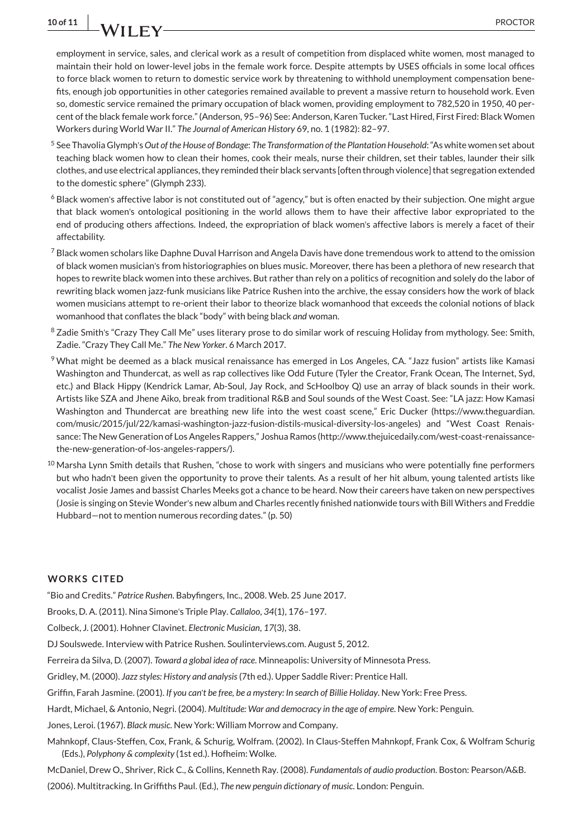employment in service, sales, and clerical work as a result of competition from displaced white women, most managed to maintain their hold on lower-level jobs in the female work force. Despite attempts by USES officials in some local offices to force black women to return to domestic service work by threatening to withhold unemployment compensation benefits, enough job opportunities in other categories remained available to prevent a massive return to household work. Even so, domestic service remained the primary occupation of black women, providing employment to 782,520 in 1950, 40 percent of the black female work force." (Anderson, 95–96) See: Anderson, Karen Tucker. "Last Hired, First Fired: Black Women Workers during World War II." *The Journal of American History* 69, no. 1 (1982): 82–97.

- <sup>5</sup> See Thavolia Glymph's *Out of the House of Bondage*: *The Transformation of the Plantation Household*: "As white women set about teaching black women how to clean their homes, cook their meals, nurse their children, set their tables, launder their silk clothes, and use electrical appliances, they reminded their black servants [often through violence] that segregation extended to the domestic sphere" (Glymph 233).
- <sup>6</sup> Black women's affective labor is not constituted out of "agency," but is often enacted by their subjection. One might argue that black women's ontological positioning in the world allows them to have their affective labor expropriated to the end of producing others affections. Indeed, the expropriation of black women's affective labors is merely a facet of their affectability.
- <sup>7</sup> Black women scholars like Daphne Duval Harrison and Angela Davis have done tremendous work to attend to the omission of black women musician's from historiographies on blues music. Moreover, there has been a plethora of new research that hopes to rewrite black women into these archives. But rather than rely on a politics of recognition and solely do the labor of rewriting black women jazz-funk musicians like Patrice Rushen into the archive, the essay considers how the work of black women musicians attempt to re-orient their labor to theorize black womanhood that exceeds the colonial notions of black womanhood that conflates the black "body" with being black *and* woman.
- <sup>8</sup> Zadie Smith's "Crazy They Call Me" uses literary prose to do similar work of rescuing Holiday from mythology. See: Smith, Zadie. "Crazy They Call Me." *The New Yorker*. 6 March 2017.
- <sup>9</sup> What might be deemed as a black musical renaissance has emerged in Los Angeles, CA. "Jazz fusion" artists like Kamasi Washington and Thundercat, as well as rap collectives like Odd Future (Tyler the Creator, Frank Ocean, The Internet, Syd, etc.) and Black Hippy (Kendrick Lamar, Ab-Soul, Jay Rock, and ScHoolboy Q) use an array of black sounds in their work. Artists like SZA and Jhene Aiko, break from traditional R&B and Soul sounds of the West Coast. See: "LA jazz: How Kamasi Washington and Thundercat are breathing new life into the west coast scene," Eric Ducker [\(https://www.theguardian.](https://www.theguardian.com/music/2015/jul/22/kamasi-washington-jazz-fusion-distils-musical-diversity-los-angeles) [com/music/2015/jul/22/kamasi-washington-jazz-fusion-distils-musical-diversity-los-angeles\)](https://www.theguardian.com/music/2015/jul/22/kamasi-washington-jazz-fusion-distils-musical-diversity-los-angeles) and "West Coast Renaissance: The New Generation of Los Angeles Rappers," Joshua Ramos [\(http://www.thejuicedaily.com/west-coast-renaissance](http://www.thejuicedaily.com/west-coast-renaissance-the-new-generation-of-los-angeles-rappers/)[the-new-generation-of-los-angeles-rappers/\)](http://www.thejuicedaily.com/west-coast-renaissance-the-new-generation-of-los-angeles-rappers/).
- $10$  Marsha Lynn Smith details that Rushen, "chose to work with singers and musicians who were potentially fine performers but who hadn't been given the opportunity to prove their talents. As a result of her hit album, young talented artists like vocalist Josie James and bassist Charles Meeks got a chance to be heard. Now their careers have taken on new perspectives (Josie is singing on Stevie Wonder's new album and Charles recently finished nationwide tours with Bill Withers and Freddie Hubbard—not to mention numerous recording dates." (p. 50)

#### **WORKS CITED**

"Bio and Credits." *Patrice Rushen*. Babyfingers, Inc., 2008. Web. 25 June 2017.

Brooks, D. A. (2011). Nina Simone's Triple Play. *Callaloo*, *34* (1), 176–197.

Colbeck, J. (2001). Hohner Clavinet. *Electronic Musician*, *17*(3), 38.

DJ Soulswede. Interview with Patrice Rushen. [Soulinterviews.com.](http://Soulinterviews.com) August 5, 2012.

Ferreira da Silva, D. (2007). *Toward a global idea of race*. Minneapolis: University of Minnesota Press.

Gridley, M. (2000). *Jazz styles: History and analysis*(7th ed.). Upper Saddle River: Prentice Hall.

Griffin, Farah Jasmine. (2001). *If you can*'*t be free, be a mystery: In search of Billie Holiday*. New York: Free Press.

Hardt, Michael, & Antonio, Negri. (2004). *Multitude: War and democracy in the age of empire*. New York: Penguin.

Jones, Leroi. (1967). *Black music*. New York: William Morrow and Company.

Mahnkopf, Claus-Steffen, Cox, Frank, & Schurig, Wolfram. (2002). In Claus-Steffen Mahnkopf, Frank Cox, & Wolfram Schurig (Eds.), *Polyphony & complexity* (1st ed.). Hofheim: Wolke.

McDaniel, Drew O., Shriver, Rick C., & Collins, Kenneth Ray. (2008). *Fundamentals of audio production*. Boston: Pearson/A&B. (2006). Multitracking. In Griffiths Paul. (Ed.), *The new penguin dictionary of music*. London: Penguin.